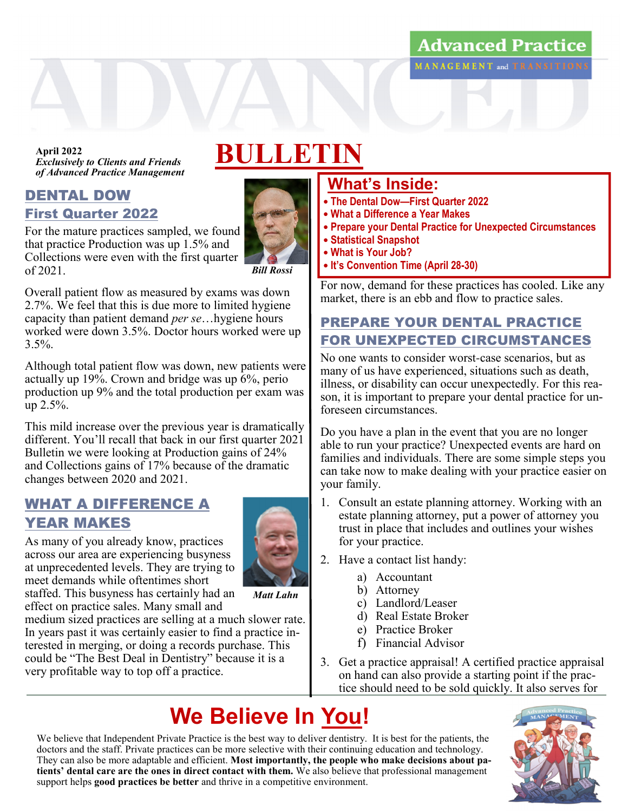## **Advanced Practice** MANAGEMENT and TRANSITIONS

*Exclusively to Clients and Friends* April 2022<br>*Exelucively to Clients and Friends* BULLETIN *of Advanced Practice Management*

### DENTAL DOW First Quarter 2022

For the mature practices sampled, we found that practice Production was up 1.5% and Collections were even with the first quarter of 2021.



 *Bill Rossi*

Overall patient flow as measured by exams was down 2.7%. We feel that this is due more to limited hygiene capacity than patient demand *per se*…hygiene hours worked were down 3.5%. Doctor hours worked were up  $3.5\%$ .

Although total patient flow was down, new patients were actually up  $19\%$ . Crown and bridge was up  $6\%$ , perio production up 9% and the total production per exam was up 2.5%.

This mild increase over the previous year is dramatically different. You'll recall that back in our first quarter 2021 Bulletin we were looking at Production gains of 24% and Collections gains of 17% because of the dramatic changes between 2020 and 2021.

## WHAT A DIFFERENCE A YEAR MAKES



As many of you already know, practices across our area are experiencing busyness at unprecedented levels. They are trying to meet demands while oftentimes short staffed. This busyness has certainly had an

 *Matt Lahn*

effect on practice sales. Many small and medium sized practices are selling at a much slower rate. In years past it was certainly easier to find a practice interested in merging, or doing a records purchase. This could be "The Best Deal in Dentistry" because it is a very profitable way to top off a practice.

# **What's Inside:**

- **The Dental Dow—First Quarter 2022**
- **What a Difference a Year Makes**
- **Prepare your Dental Practice for Unexpected Circumstances**
- **Statistical Snapshot**
- **What is Your Job?**
- **It's Convention Time (April 28-30)**

For now, demand for these practices has cooled. Like any market, there is an ebb and flow to practice sales.

# PREPARE YOUR DENTAL PRACTICE FOR UNEXPECTED CIRCUMSTANCES

No one wants to consider worst-case scenarios, but as many of us have experienced, situations such as death, illness, or disability can occur unexpectedly. For this reason, it is important to prepare your dental practice for unforeseen circumstances.

Do you have a plan in the event that you are no longer able to run your practice? Unexpected events are hard on families and individuals. There are some simple steps you can take now to make dealing with your practice easier on your family.

- 1. Consult an estate planning attorney. Working with an estate planning attorney, put a power of attorney you trust in place that includes and outlines your wishes for your practice.
- 2. Have a contact list handy:
	- a) Accountant
	- b) Attorney
	- c) Landlord/Leaser
	- d) Real Estate Broker
	- e) Practice Broker
	- f) Financial Advisor
- 3. Get a practice appraisal! A certified practice appraisal on hand can also provide a starting point if the practice should need to be sold quickly. It also serves for

# **We Believe In You!**

We believe that Independent Private Practice is the best way to deliver dentistry. It is best for the patients, the doctors and the staff. Private practices can be more selective with their continuing education and technology. They can also be more adaptable and efficient. **Most importantly, the people who make decisions about patients' dental care are the ones in direct contact with them.** We also believe that professional management support helps **good practices be better** and thrive in a competitive environment.